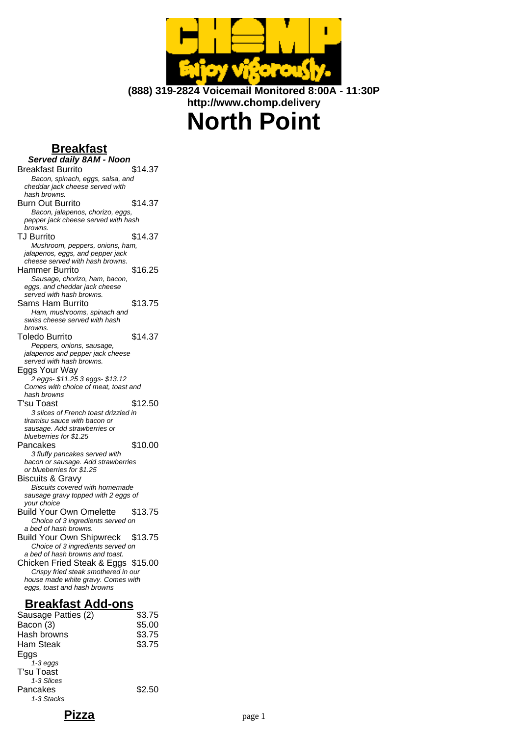

**(888) 319-2824 Voicemail Monitored 8:00A - 11:30P http://www.chomp.delivery**

# **North Point**

# **Breakfast**

**Served daily 8AM - Noon** Breakfast Burrito \$14.37 Bacon, spinach, eggs, salsa, and cheddar jack cheese served with hash browns. Burn Out Burrito \$14.37 Bacon, jalapenos, chorizo, eggs, pepper jack cheese served with hash browns. TJ Burrito \$14.37 Mushroom, peppers, onions, ham, jalapenos, eggs, and pepper jack cheese served with hash browns. Hammer Burrito \$16.25 Sausage, chorizo, ham, bacon, eggs, and cheddar jack cheese served with hash browns. Sams Ham Burrito \$13.75 Ham, mushrooms, spinach and swiss cheese served with hash browns. Toledo Burrito  $$14.37$ Peppers, onions, sausage, jalapenos and pepper jack cheese served with hash browns. Eggs Your Way 2 eggs- \$11.25 3 eggs- \$13.12 Comes with choice of meat, toast and hash browns T'su Toast \$12.50 3 slices of French toast drizzled in tiramisu sauce with bacon or sausage. Add strawberries or blueberries for \$1.25 Pancakes \$10.00 3 fluffy pancakes served with bacon or sausage. Add strawberries or blueberries for \$1.25 Biscuits & Gravy Biscuits covered with homemade sausage gravy topped with 2 eggs of your choice Build Your Own Omelette \$13.75 Choice of 3 ingredients served on a bed of hash browns. Build Your Own Shipwreck \$13.75 Choice of 3 ingredients served on a bed of hash browns and toast. Chicken Fried Steak & Eggs \$15.00 Crispy fried steak smothered in our house made white gravy. Comes with eggs, toast and hash browns **Breakfast Add-ons**

| Sausage Patties (2) | \$3.75 |
|---------------------|--------|
| Bacon (3)           | \$5.00 |
| Hash browns         | \$3.75 |
| Ham Steak           | \$3.75 |
| Eggs                |        |
| $1-3$ eggs          |        |
| T'su Toast          |        |
| 1-3 Slices          |        |
| Pancakes            | \$2.50 |
| 1-3 Stacks          |        |
|                     |        |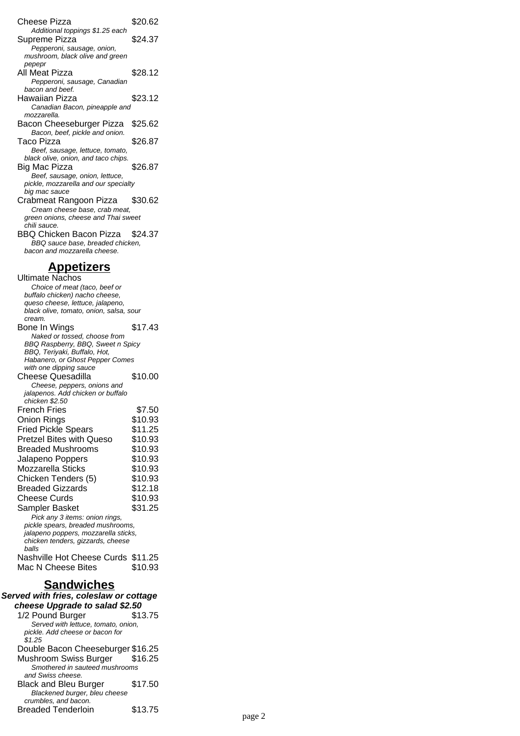Cheese Pizza \$20.62 Additional toppings \$1.25 each Supreme Pizza  $$24.37$ Pepperoni, sausage, onion, mushroom, black olive and green pepepr All Meat Pizza  $$28.12$ Pepperoni, sausage, Canadian bacon and beef. Hawaiian Pizza \$23.12 Canadian Bacon, pineapple and mozzarella. Bacon Cheeseburger Pizza \$25.62 Bacon, beef, pickle and onion. Taco Pizza  $$26.87$ Beef, sausage, lettuce, tomato, black olive, onion, and taco chips. Big Mac Pizza \$26.87 Beef, sausage, onion, lettuce, pickle, mozzarella and our specialty big mac sauce Crabmeat Rangoon Pizza \$30.62 Cream cheese base, crab meat, green onions, cheese and Thai sweet chili sauce. BBQ Chicken Bacon Pizza \$24.37 BBQ sauce base, breaded chicken, bacon and mozzarella cheese. **Appetizers** Ultimate Nachos Choice of meat (taco, beef or buffalo chicken) nacho cheese, queso cheese, lettuce, jalapeno,

black olive, tomato, onion, salsa, sour cream. Bone In Wings \$17.43 Naked or tossed, choose from BBQ Raspberry, BBQ, Sweet n Spicy BBQ, Teriyaki, Buffalo, Hot, Habanero, or Ghost Pepper Comes with one dipping sauce Cheese Quesadilla \$10.00 Cheese, peppers, onions and jalapenos. Add chicken or buffalo chicken \$2.50 French Fries \$7.50 Onion Rings \$10.93 Fried Pickle Spears \$11.25 Pretzel Bites with Queso \$10.93 Breaded Mushrooms \$10.93 Jalapeno Poppers \$10.93 Mozzarella Sticks \$10.93 Chicken Tenders (5) \$10.93 Breaded Gizzards \$12.18 Cheese Curds \$10.93 Sampler Basket \$31.25 Pick any 3 items: onion rings, pickle spears, breaded mushrooms, jalapeno poppers, mozzarella sticks, chicken tenders, gizzards, cheese balls Nashville Hot Cheese Curds \$11.25 Mac N Cheese Bites \$10.93

#### **Sandwiches**

**Served with fries, coleslaw or cottage cheese Upgrade to salad \$2.50** 1/2 Pound Burger \$13.75 Served with lettuce, tomato, onion, pickle. Add cheese or bacon for .<br>\$1.25 Double Bacon Cheeseburger \$16.25 Mushroom Swiss Burger \$16.25 Smothered in sauteed mushrooms and Swiss cheese. Black and Bleu Burger \$17.50 Blackened burger, bleu cheese crumbles, and bacon. Breaded Tenderloin \$13.75